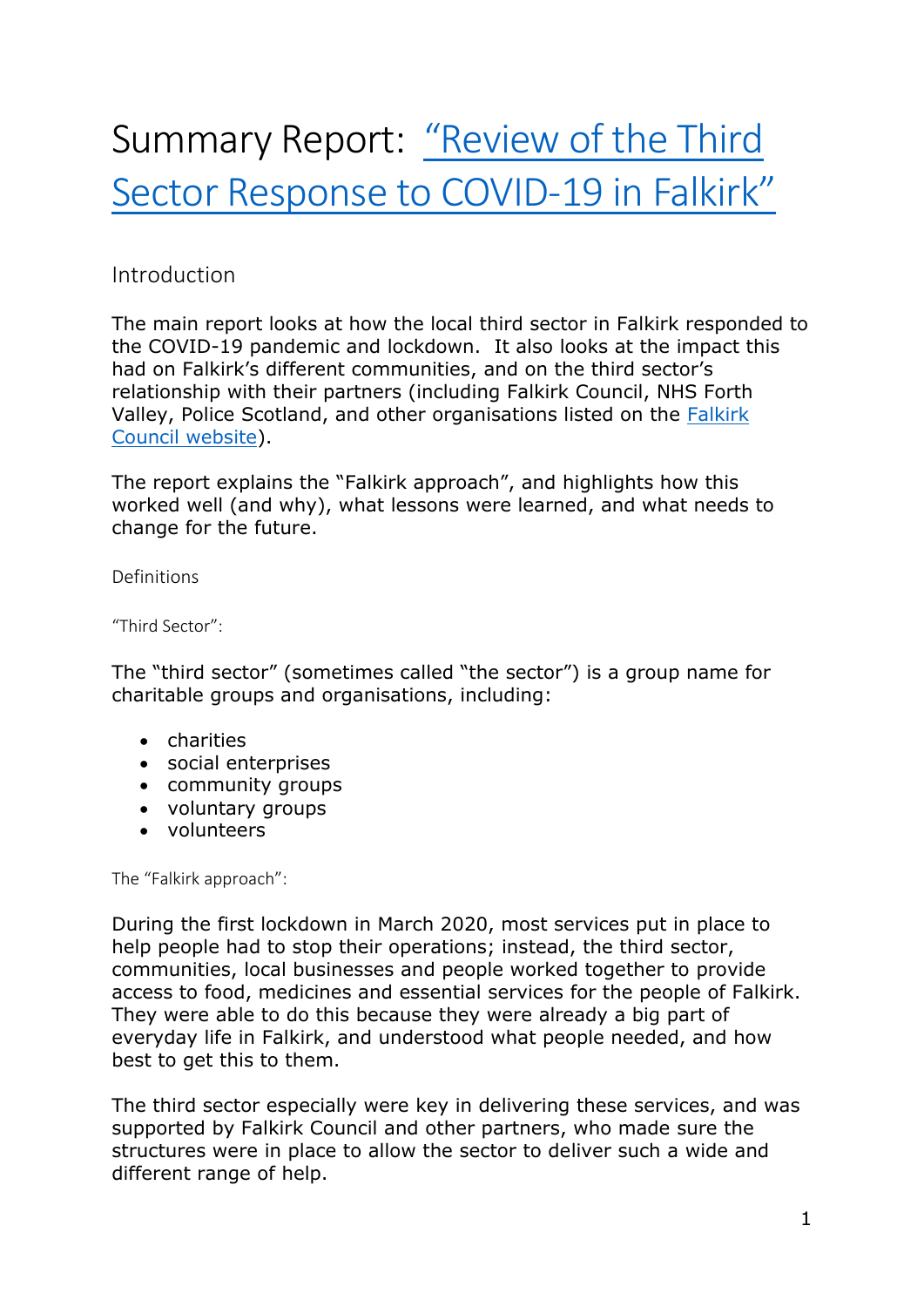# Summary Report: "Review of the Third [Sector Response to COVID-19 in Falkirk"](http://www.cvsfalkirk.org.uk/wp-content/uploads/2020/12/FALKIRK-Eval-of-3-sector-response-FINAL.pdf)

## Introduction

The main report looks at how the local third sector in Falkirk responded to the COVID-19 pandemic and lockdown. It also looks at the impact this had on Falkirk's different communities, and on the third sector's relationship with their partners (including Falkirk Council, NHS Forth Valley, Police Scotland, and other organisations listed on the [Falkirk](https://www.falkirk.gov.uk/services/council-democracy/policies-strategies/community-planning.aspx)  [Council website\)](https://www.falkirk.gov.uk/services/council-democracy/policies-strategies/community-planning.aspx).

The report explains the "Falkirk approach", and highlights how this worked well (and why), what lessons were learned, and what needs to change for the future.

Definitions

"Third Sector":

The "third sector" (sometimes called "the sector") is a group name for charitable groups and organisations, including:

- charities
- social enterprises
- community groups
- voluntary groups
- volunteers

The "Falkirk approach":

During the first lockdown in March 2020, most services put in place to help people had to stop their operations; instead, the third sector, communities, local businesses and people worked together to provide access to food, medicines and essential services for the people of Falkirk. They were able to do this because they were already a big part of everyday life in Falkirk, and understood what people needed, and how best to get this to them.

The third sector especially were key in delivering these services, and was supported by Falkirk Council and other partners, who made sure the structures were in place to allow the sector to deliver such a wide and different range of help.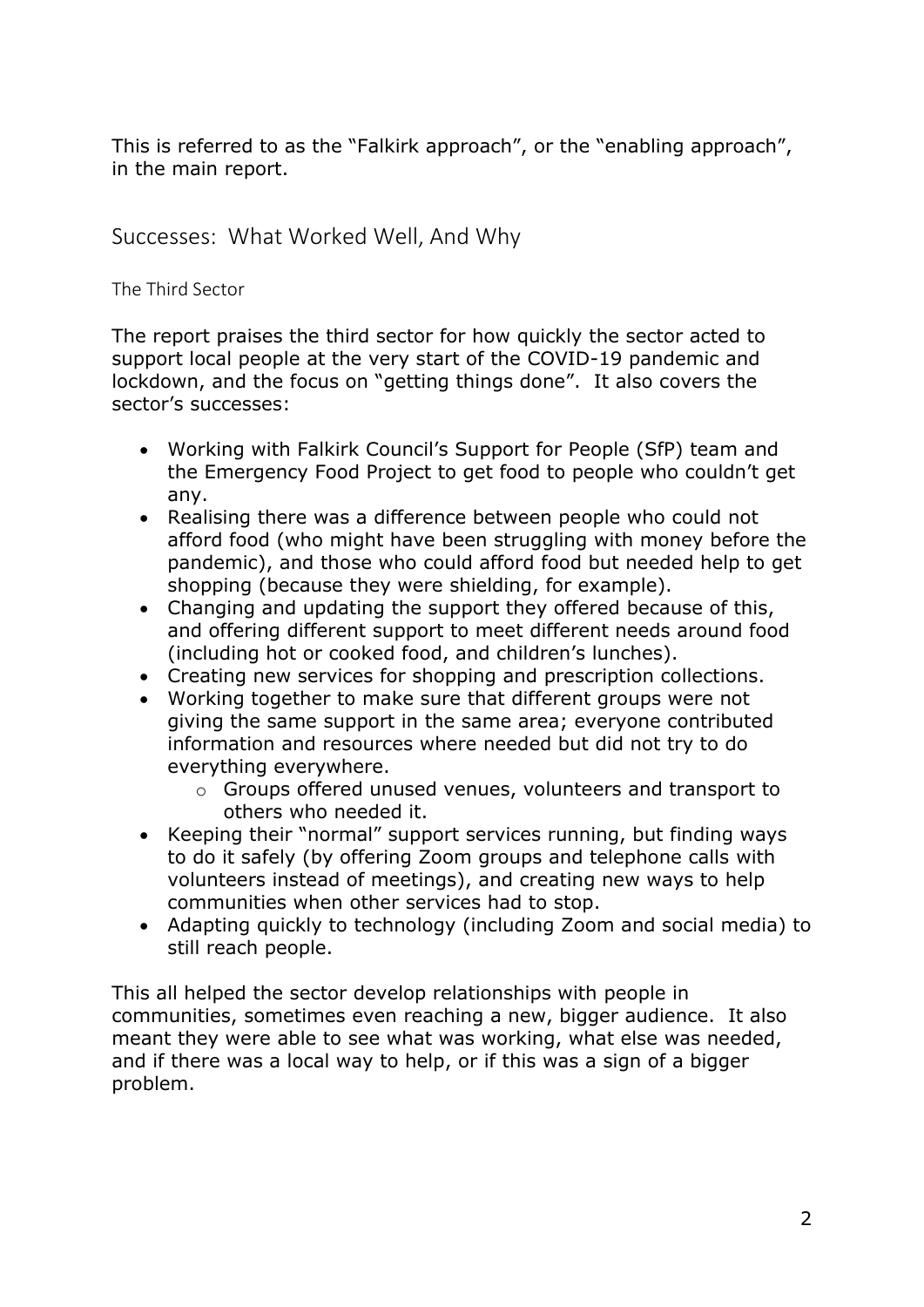This is referred to as the "Falkirk approach", or the "enabling approach", in the main report.

Successes: What Worked Well, And Why

The Third Sector

The report praises the third sector for how quickly the sector acted to support local people at the very start of the COVID-19 pandemic and lockdown, and the focus on "getting things done". It also covers the sector's successes:

- Working with Falkirk Council's Support for People (SfP) team and the Emergency Food Project to get food to people who couldn't get any.
- Realising there was a difference between people who could not afford food (who might have been struggling with money before the pandemic), and those who could afford food but needed help to get shopping (because they were shielding, for example).
- Changing and updating the support they offered because of this, and offering different support to meet different needs around food (including hot or cooked food, and children's lunches).
- Creating new services for shopping and prescription collections.
- Working together to make sure that different groups were not giving the same support in the same area; everyone contributed information and resources where needed but did not try to do everything everywhere.
	- o Groups offered unused venues, volunteers and transport to others who needed it.
- Keeping their "normal" support services running, but finding ways to do it safely (by offering Zoom groups and telephone calls with volunteers instead of meetings), and creating new ways to help communities when other services had to stop.
- Adapting quickly to technology (including Zoom and social media) to still reach people.

This all helped the sector develop relationships with people in communities, sometimes even reaching a new, bigger audience. It also meant they were able to see what was working, what else was needed, and if there was a local way to help, or if this was a sign of a bigger problem.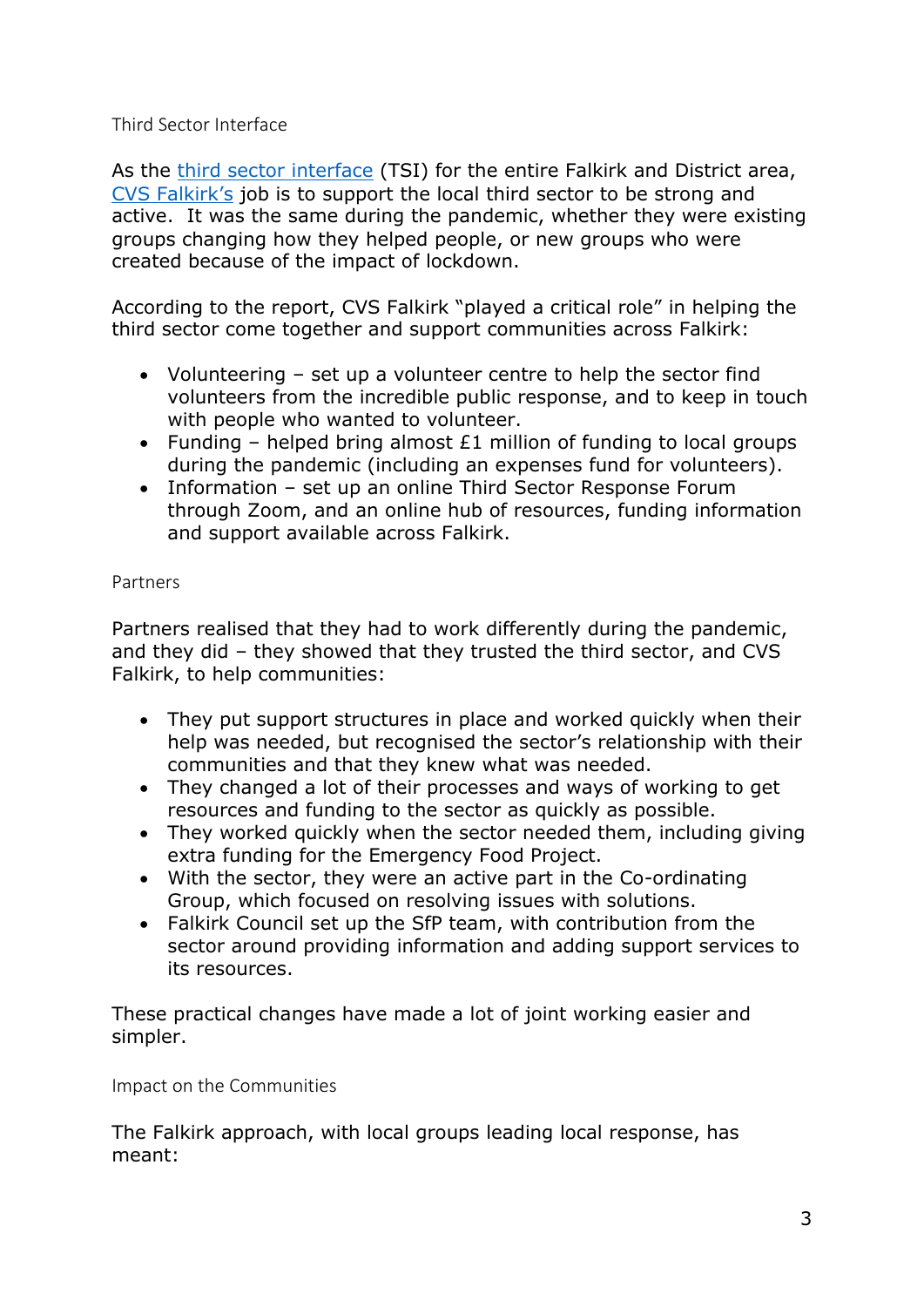#### Third Sector Interface

As the [third sector interface](https://www.gov.scot/policies/third-sector/third-sector-interfaces/) (TSI) for the entire Falkirk and District area, [CVS Falkirk's](https://www.cvsfalkirk.org.uk/about-us/) job is to support the local third sector to be strong and active. It was the same during the pandemic, whether they were existing groups changing how they helped people, or new groups who were created because of the impact of lockdown.

According to the report, CVS Falkirk "played a critical role" in helping the third sector come together and support communities across Falkirk:

- Volunteering set up a volunteer centre to help the sector find volunteers from the incredible public response, and to keep in touch with people who wanted to volunteer.
- Funding helped bring almost  $E1$  million of funding to local groups during the pandemic (including an expenses fund for volunteers).
- Information set up an online Third Sector Response Forum through Zoom, and an online hub of resources, funding information and support available across Falkirk.

#### Partners

Partners realised that they had to work differently during the pandemic, and they did – they showed that they trusted the third sector, and CVS Falkirk, to help communities:

- They put support structures in place and worked quickly when their help was needed, but recognised the sector's relationship with their communities and that they knew what was needed.
- They changed a lot of their processes and ways of working to get resources and funding to the sector as quickly as possible.
- They worked quickly when the sector needed them, including giving extra funding for the Emergency Food Project.
- With the sector, they were an active part in the Co-ordinating Group, which focused on resolving issues with solutions.
- Falkirk Council set up the SfP team, with contribution from the sector around providing information and adding support services to its resources.

These practical changes have made a lot of joint working easier and simpler.

Impact on the Communities

The Falkirk approach, with local groups leading local response, has meant: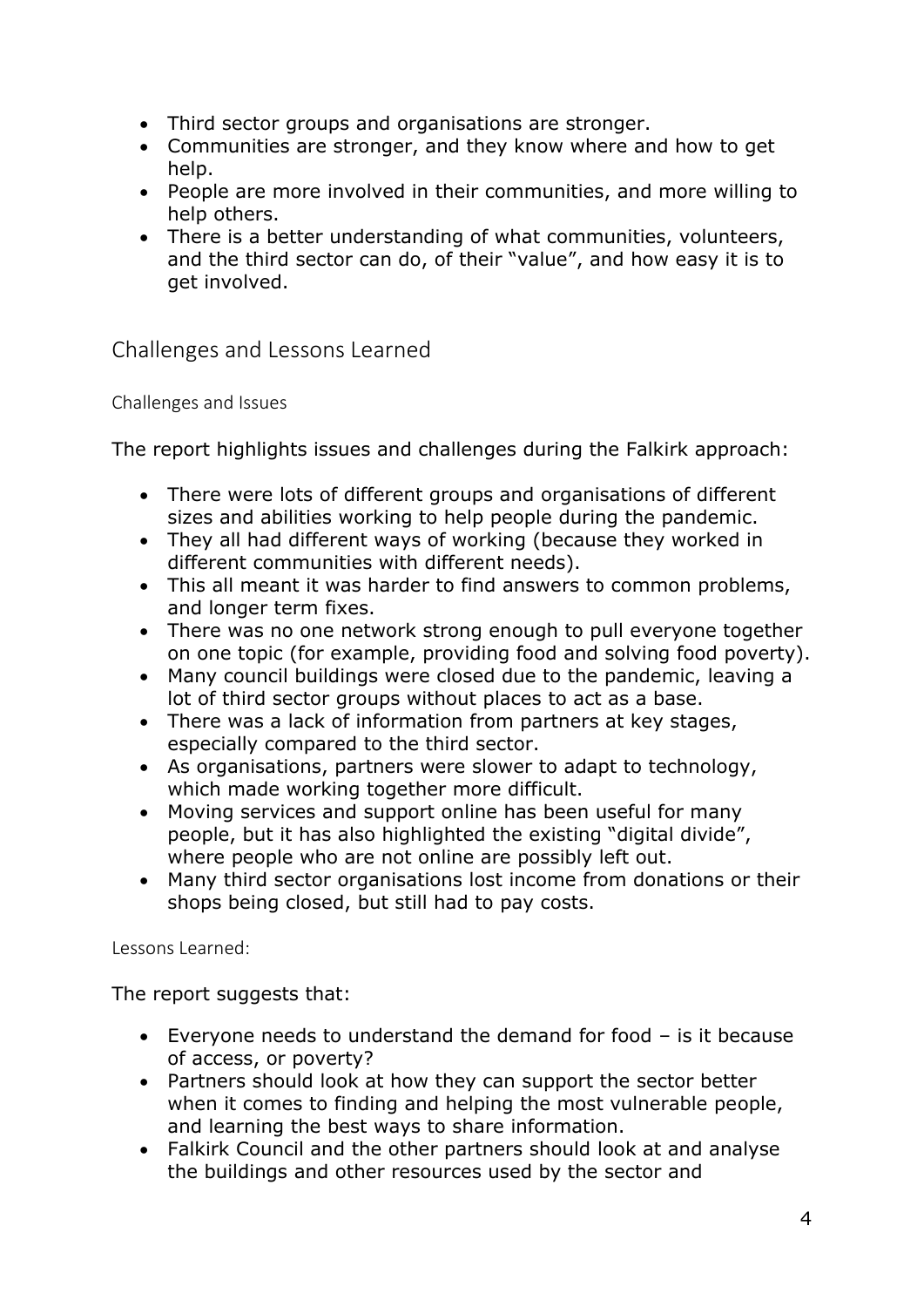- Third sector groups and organisations are stronger.
- Communities are stronger, and they know where and how to get help.
- People are more involved in their communities, and more willing to help others.
- There is a better understanding of what communities, volunteers, and the third sector can do, of their "value", and how easy it is to get involved.

Challenges and Lessons Learned

### Challenges and Issues

The report highlights issues and challenges during the Falkirk approach:

- There were lots of different groups and organisations of different sizes and abilities working to help people during the pandemic.
- They all had different ways of working (because they worked in different communities with different needs).
- This all meant it was harder to find answers to common problems, and longer term fixes.
- There was no one network strong enough to pull everyone together on one topic (for example, providing food and solving food poverty).
- Many council buildings were closed due to the pandemic, leaving a lot of third sector groups without places to act as a base.
- There was a lack of information from partners at key stages, especially compared to the third sector.
- As organisations, partners were slower to adapt to technology, which made working together more difficult.
- Moving services and support online has been useful for many people, but it has also highlighted the existing "digital divide", where people who are not online are possibly left out.
- Many third sector organisations lost income from donations or their shops being closed, but still had to pay costs.

Lessons Learned:

The report suggests that:

- Everyone needs to understand the demand for food is it because of access, or poverty?
- Partners should look at how they can support the sector better when it comes to finding and helping the most vulnerable people, and learning the best ways to share information.
- Falkirk Council and the other partners should look at and analyse the buildings and other resources used by the sector and